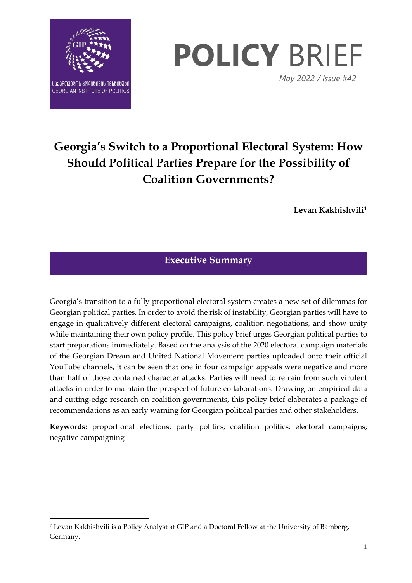

 $\overline{a}$ 



 *May 2022 / Issue #42*

# **Georgia's Switch to a Proportional Electoral System: How Should Political Parties Prepare for the Possibility of Coalition Governments?**

**Levan Kakhishvili[1](#page-0-0)**

# **Executive Summary**

Georgia's transition to a fully proportional electoral system creates a new set of dilemmas for Georgian political parties. In order to avoid the risk of instability, Georgian parties will have to engage in qualitatively different electoral campaigns, coalition negotiations, and show unity while maintaining their own policy profile. This policy brief urges Georgian political parties to start preparations immediately. Based on the analysis of the 2020 electoral campaign materials of the Georgian Dream and United National Movement parties uploaded onto their official YouTube channels, it can be seen that one in four campaign appeals were negative and more than half of those contained character attacks. Parties will need to refrain from such virulent attacks in order to maintain the prospect of future collaborations. Drawing on empirical data and cutting-edge research on coalition governments, this policy brief elaborates a package of recommendations as an early warning for Georgian political parties and other stakeholders.

**Keywords:** proportional elections; party politics; coalition politics; electoral campaigns; negative campaigning

<span id="page-0-0"></span>*<sup>1</sup>* Levan Kakhishvili is a Policy Analyst at GIP and a Doctoral Fellow at the University of Bamberg, Germany.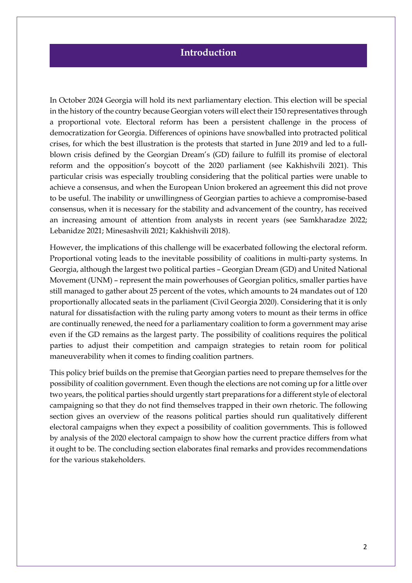# **Introduction**

i<br>I

In October 2024 Georgia will hold its next parliamentary election. This election will be special in the history of the country because Georgian voters will elect their 150 representatives through a proportional vote. Electoral reform has been a persistent challenge in the process of democratization for Georgia. Differences of opinions have snowballed into protracted political crises, for which the best illustration is the protests that started in June 2019 and led to a fullblown crisis defined by the Georgian Dream's (GD) failure to fulfill its promise of electoral reform and the opposition's boycott of the 2020 parliament (see Kakhishvili 2021). This particular crisis was especially troubling considering that the political parties were unable to achieve a consensus, and when the European Union brokered an agreement this did not prove to be useful. The inability or unwillingness of Georgian parties to achieve a compromise-based consensus, when it is necessary for the stability and advancement of the country, has received an increasing amount of attention from analysts in recent years (see Samkharadze 2022; Lebanidze 2021; Minesashvili 2021; Kakhishvili 2018).

However, the implications of this challenge will be exacerbated following the electoral reform. Proportional voting leads to the inevitable possibility of coalitions in multi-party systems. In Georgia, although the largest two political parties – Georgian Dream (GD) and United National Movement (UNM) – represent the main powerhouses of Georgian politics, smaller parties have still managed to gather about 25 percent of the votes, which amounts to 24 mandates out of 120 proportionally allocated seats in the parliament (Civil Georgia 2020). Considering that it is only natural for dissatisfaction with the ruling party among voters to mount as their terms in office are continually renewed, the need for a parliamentary coalition to form a government may arise even if the GD remains as the largest party. The possibility of coalitions requires the political parties to adjust their competition and campaign strategies to retain room for political maneuverability when it comes to finding coalition partners.

This policy brief builds on the premise that Georgian parties need to prepare themselves for the possibility of coalition government. Even though the elections are not coming up for a little over two years, the political parties should urgently start preparations for a different style of electoral campaigning so that they do not find themselves trapped in their own rhetoric. The following section gives an overview of the reasons political parties should run qualitatively different electoral campaigns when they expect a possibility of coalition governments. This is followed by analysis of the 2020 electoral campaign to show how the current practice differs from what it ought to be. The concluding section elaborates final remarks and provides recommendations for the various stakeholders.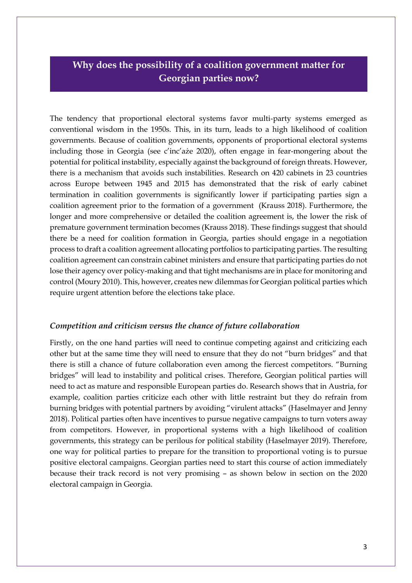# **Why does the possibility of a coalition government matter for Georgian parties now?**

The tendency that proportional electoral systems favor multi-party systems emerged as conventional wisdom in the 1950s. This, in its turn, leads to a high likelihood of coalition governments. Because of coalition governments, opponents of proportional electoral systems including those in Georgia (see c'inc'aże 2020), often engage in fear-mongering about the potential for political instability, especially against the background of foreign threats. However, there is a mechanism that avoids such instabilities. Research on 420 cabinets in 23 countries across Europe between 1945 and 2015 has demonstrated that the risk of early cabinet termination in coalition governments is significantly lower if participating parties sign a coalition agreement prior to the formation of a government (Krauss 2018). Furthermore, the longer and more comprehensive or detailed the coalition agreement is, the lower the risk of premature government termination becomes (Krauss 2018). These findings suggest that should there be a need for coalition formation in Georgia, parties should engage in a negotiation process to draft a coalition agreement allocating portfolios to participating parties. The resulting coalition agreement can constrain cabinet ministers and ensure that participating parties do not lose their agency over policy-making and that tight mechanisms are in place for monitoring and control (Moury 2010). This, however, creates new dilemmas for Georgian political parties which require urgent attention before the elections take place.

## *Competition and criticism versus the chance of future collaboration*

Firstly, on the one hand parties will need to continue competing against and criticizing each other but at the same time they will need to ensure that they do not "burn bridges" and that there is still a chance of future collaboration even among the fiercest competitors. "Burning bridges" will lead to instability and political crises. Therefore, Georgian political parties will need to act as mature and responsible European parties do. Research shows that in Austria, for example, coalition parties criticize each other with little restraint but they do refrain from burning bridges with potential partners by avoiding "virulent attacks" (Haselmayer and Jenny 2018). Political parties often have incentives to pursue negative campaigns to turn voters away from competitors. However, in proportional systems with a high likelihood of coalition governments, this strategy can be perilous for political stability (Haselmayer 2019). Therefore, one way for political parties to prepare for the transition to proportional voting is to pursue positive electoral campaigns. Georgian parties need to start this course of action immediately because their track record is not very promising – as shown below in section on the 2020 electoral campaign in Georgia.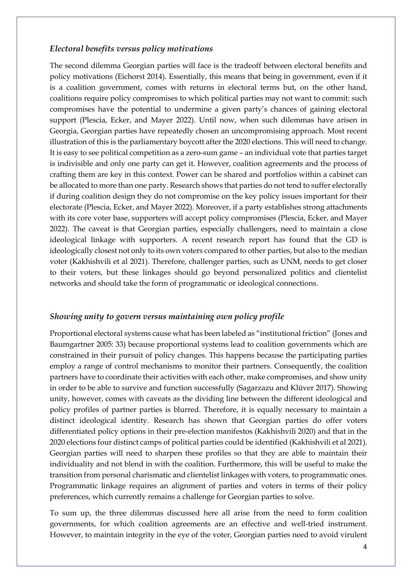#### *Electoral benefits versus policy motivations*

The second dilemma Georgian parties will face is the tradeoff between electoral benefits and policy motivations (Eichorst 2014). Essentially, this means that being in government, even if it is a coalition government, comes with returns in electoral terms but, on the other hand, coalitions require policy compromises to which political parties may not want to commit: such compromises have the potential to undermine a given party's chances of gaining electoral support (Plescia, Ecker, and Mayer 2022). Until now, when such dilemmas have arisen in Georgia, Georgian parties have repeatedly chosen an uncompromising approach. Most recent illustration of this is the parliamentary boycott after the 2020 elections. This will need to change. It is easy to see political competition as a zero-sum game – an individual vote that parties target is indivisible and only one party can get it. However, coalition agreements and the process of crafting them are key in this context. Power can be shared and portfolios within a cabinet can be allocated to more than one party. Research shows that parties do not tend to suffer electorally if during coalition design they do not compromise on the key policy issues important for their electorate (Plescia, Ecker, and Mayer 2022). Moreover, if a party establishes strong attachments with its core voter base, supporters will accept policy compromises (Plescia, Ecker, and Mayer 2022). The caveat is that Georgian parties, especially challengers, need to maintain a close ideological linkage with supporters. A recent research report has found that the GD is ideologically closest not only to its own voters compared to other parties, but also to the median voter (Kakhishvili et al 2021). Therefore, challenger parties, such as UNM, needs to get closer to their voters, but these linkages should go beyond personalized politics and clientelist networks and should take the form of programmatic or ideological connections.

#### *Showing unity to govern versus maintaining own policy profile*

Proportional electoral systems cause what has been labeled as "institutional friction" (Jones and Baumgartner 2005: 33) because proportional systems lead to coalition governments which are constrained in their pursuit of policy changes. This happens because the participating parties employ a range of control mechanisms to monitor their partners. Consequently, the coalition partners have to coordinate their activities with each other, make compromises, and show unity in order to be able to survive and function successfully (Sagarzazu and Klüver 2017). Showing unity, however, comes with caveats as the dividing line between the different ideological and policy profiles of partner parties is blurred. Therefore, it is equally necessary to maintain a distinct ideological identity. Research has shown that Georgian parties do offer voters differentiated policy options in their pre-election manifestos (Kakhishvili 2020) and that in the 2020 elections four distinct camps of political parties could be identified (Kakhishvili et al 2021). Georgian parties will need to sharpen these profiles so that they are able to maintain their individuality and not blend in with the coalition. Furthermore, this will be useful to make the transition from personal charismatic and clientelist linkages with voters, to programmatic ones. Programmatic linkage requires an alignment of parties and voters in terms of their policy preferences, which currently remains a challenge for Georgian parties to solve.

To sum up, the three dilemmas discussed here all arise from the need to form coalition governments, for which coalition agreements are an effective and well-tried instrument. However, to maintain integrity in the eye of the voter, Georgian parties need to avoid virulent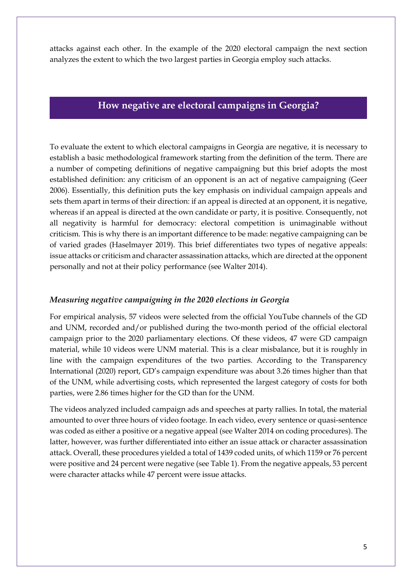attacks against each other. In the example of the 2020 electoral campaign the next section analyzes the extent to which the two largest parties in Georgia employ such attacks.

# **How negative are electoral campaigns in Georgia?**

To evaluate the extent to which electoral campaigns in Georgia are negative, it is necessary to establish a basic methodological framework starting from the definition of the term. There are a number of competing definitions of negative campaigning but this brief adopts the most established definition: any criticism of an opponent is an act of negative campaigning (Geer 2006). Essentially, this definition puts the key emphasis on individual campaign appeals and sets them apart in terms of their direction: if an appeal is directed at an opponent, it is negative, whereas if an appeal is directed at the own candidate or party, it is positive. Consequently, not all negativity is harmful for democracy: electoral competition is unimaginable without criticism. This is why there is an important difference to be made: negative campaigning can be of varied grades (Haselmayer 2019). This brief differentiates two types of negative appeals: issue attacks or criticism and character assassination attacks, which are directed at the opponent personally and not at their policy performance (see Walter 2014).

## *Measuring negative campaigning in the 2020 elections in Georgia*

For empirical analysis, 57 videos were selected from the official YouTube channels of the GD and UNM, recorded and/or published during the two-month period of the official electoral campaign prior to the 2020 parliamentary elections. Of these videos, 47 were GD campaign material, while 10 videos were UNM material. This is a clear misbalance, but it is roughly in line with the campaign expenditures of the two parties. According to the Transparency International (2020) report, GD's campaign expenditure was about 3.26 times higher than that of the UNM, while advertising costs, which represented the largest category of costs for both parties, were 2.86 times higher for the GD than for the UNM.

The videos analyzed included campaign ads and speeches at party rallies. In total, the material amounted to over three hours of video footage. In each video, every sentence or quasi-sentence was coded as either a positive or a negative appeal (see Walter 2014 on coding procedures). The latter, however, was further differentiated into either an issue attack or character assassination attack. Overall, these procedures yielded a total of 1439 coded units, of which 1159 or 76 percent were positive and 24 percent were negative (see Table 1). From the negative appeals, 53 percent were character attacks while 47 percent were issue attacks.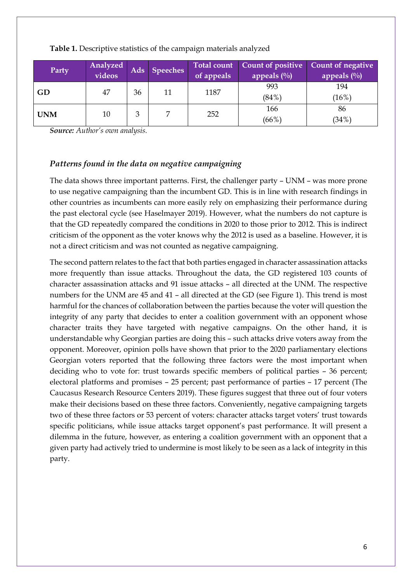| Party      | Analyzed<br>videos |    | Ads Speeches | of appeals | Total count Count of positive<br>appeals $(\%)$ | Count of negative<br>appeals $(\%)$ |
|------------|--------------------|----|--------------|------------|-------------------------------------------------|-------------------------------------|
| GD         | 47                 | 36 | 11           | 1187       | 993<br>$(84\%)$                                 | 194<br>(16%)                        |
| <b>UNM</b> | 10                 | 3  |              | 252        | 166<br>(66%)                                    | 86<br>(34%)                         |

#### **Table 1.** Descriptive statistics of the campaign materials analyzed

*Source: Author's own analysis.*

## *Patterns found in the data on negative campaigning*

The data shows three important patterns. First, the challenger party – UNM – was more prone to use negative campaigning than the incumbent GD. This is in line with research findings in other countries as incumbents can more easily rely on emphasizing their performance during the past electoral cycle (see Haselmayer 2019). However, what the numbers do not capture is that the GD repeatedly compared the conditions in 2020 to those prior to 2012. This is indirect criticism of the opponent as the voter knows why the 2012 is used as a baseline. However, it is not a direct criticism and was not counted as negative campaigning.

The second pattern relates to the fact that both parties engaged in character assassination attacks more frequently than issue attacks. Throughout the data, the GD registered 103 counts of character assassination attacks and 91 issue attacks – all directed at the UNM. The respective numbers for the UNM are 45 and 41 – all directed at the GD (see Figure 1). This trend is most harmful for the chances of collaboration between the parties because the voter will question the integrity of any party that decides to enter a coalition government with an opponent whose character traits they have targeted with negative campaigns. On the other hand, it is understandable why Georgian parties are doing this – such attacks drive voters away from the opponent. Moreover, opinion polls have shown that prior to the 2020 parliamentary elections Georgian voters reported that the following three factors were the most important when deciding who to vote for: trust towards specific members of political parties – 36 percent; electoral platforms and promises – 25 percent; past performance of parties – 17 percent (The Caucasus Research Resource Centers 2019). These figures suggest that three out of four voters make their decisions based on these three factors. Conveniently, negative campaigning targets two of these three factors or 53 percent of voters: character attacks target voters' trust towards specific politicians, while issue attacks target opponent's past performance. It will present a dilemma in the future, however, as entering a coalition government with an opponent that a given party had actively tried to undermine is most likely to be seen as a lack of integrity in this party.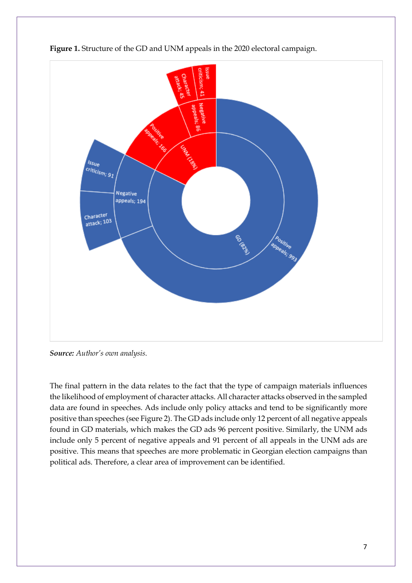



*Source: Author's own analysis.*

The final pattern in the data relates to the fact that the type of campaign materials influences the likelihood of employment of character attacks. All character attacks observed in the sampled data are found in speeches. Ads include only policy attacks and tend to be significantly more positive than speeches (see Figure 2). The GD ads include only 12 percent of all negative appeals found in GD materials, which makes the GD ads 96 percent positive. Similarly, the UNM ads include only 5 percent of negative appeals and 91 percent of all appeals in the UNM ads are positive. This means that speeches are more problematic in Georgian election campaigns than political ads. Therefore, a clear area of improvement can be identified.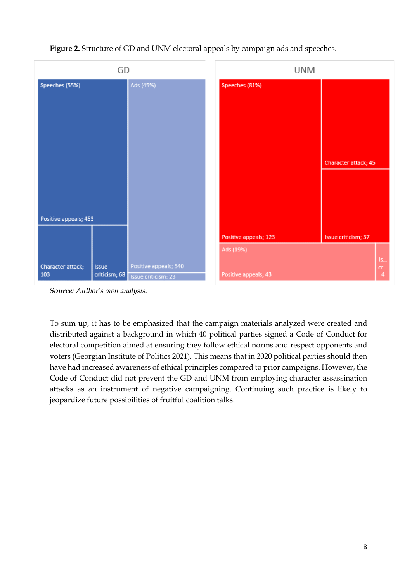

**Figure 2.** Structure of GD and UNM electoral appeals by campaign ads and speeches.

*Source: Author's own analysis.*

To sum up, it has to be emphasized that the campaign materials analyzed were created and distributed against a background in which 40 political parties signed a Code of Conduct for electoral competition aimed at ensuring they follow ethical norms and respect opponents and voters (Georgian Institute of Politics 2021). This means that in 2020 political parties should then have had increased awareness of ethical principles compared to prior campaigns. However, the Code of Conduct did not prevent the GD and UNM from employing character assassination attacks as an instrument of negative campaigning. Continuing such practice is likely to jeopardize future possibilities of fruitful coalition talks.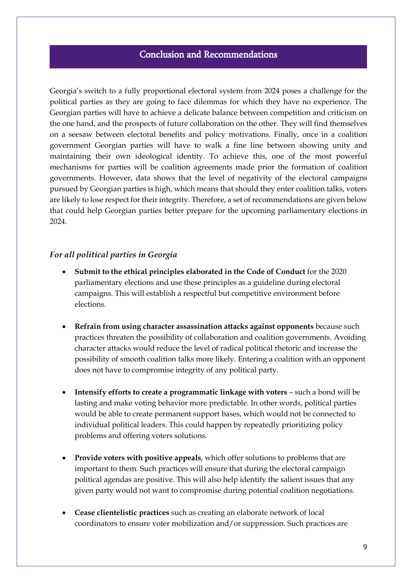# Conclusion and Recommendations

l,

Georgia's switch to a fully proportional electoral system from 2024 poses a challenge for the political parties as they are going to face dilemmas for which they have no experience. The Georgian parties will have to achieve a delicate balance between competition and criticism on the one hand, and the prospects of future collaboration on the other. They will find themselves on a seesaw between electoral benefits and policy motivations. Finally, once in a coalition government Georgian parties will have to walk a fine line between showing unity and maintaining their own ideological identity. To achieve this, one of the most powerful mechanisms for parties will be coalition agreements made prior the formation of coalition governments. However, data shows that the level of negativity of the electoral campaigns pursued by Georgian parties is high, which means that should they enter coalition talks, voters are likely to lose respect for their integrity. Therefore, a set of recommendations are given below that could help Georgian parties better prepare for the upcoming parliamentary elections in 2024.

## *For all political parties in Georgia*

- **Submit to the ethical principles elaborated in the Code of Conduct** for the 2020 parliamentary elections and use these principles as a guideline during electoral campaigns. This will establish a respectful but competitive environment before elections.
- **Refrain from using character assassination attacks against opponents** because such practices threaten the possibility of collaboration and coalition governments. Avoiding character attacks would reduce the level of radical political rhetoric and increase the possibility of smooth coalition talks more likely. Entering a coalition with an opponent does not have to compromise integrity of any political party.
- Intensify efforts to create a programmatic linkage with voters such a bond will be lasting and make voting behavior more predictable. In other words, political parties would be able to create permanent support bases, which would not be connected to individual political leaders. This could happen by repeatedly prioritizing policy problems and offering voters solutions.
- **Provide voters with positive appeals**, which offer solutions to problems that are important to them. Such practices will ensure that during the electoral campaign political agendas are positive. This will also help identify the salient issues that any given party would not want to compromise during potential coalition negotiations.
- **Cease clientelistic practices** such as creating an elaborate network of local coordinators to ensure voter mobilization and/or suppression. Such practices are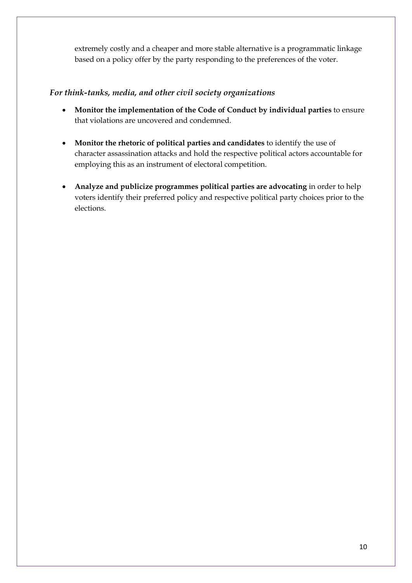extremely costly and a cheaper and more stable alternative is a programmatic linkage based on a policy offer by the party responding to the preferences of the voter.

## *For think-tanks, media, and other civil society organizations*

- **Monitor the implementation of the Code of Conduct by individual parties** to ensure that violations are uncovered and condemned.
- **Monitor the rhetoric of political parties and candidates** to identify the use of character assassination attacks and hold the respective political actors accountable for employing this as an instrument of electoral competition.
- **Analyze and publicize programmes political parties are advocating** in order to help voters identify their preferred policy and respective political party choices prior to the elections.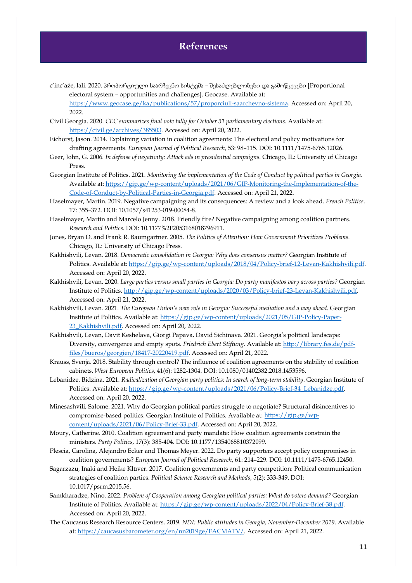# **References**

c'inc'aże, lali. 2020. პროპორციული საარჩევნო სისტემა – შესაძლებლობები და გამოწვევები [Proportional electoral system – opportunities and challenges]. Geocase. Available at: [https://www.geocase.ge/ka/publications/57/proporciuli-saarchevno-sistema.](https://www.geocase.ge/ka/publications/57/proporciuli-saarchevno-sistema) Accessed on: April 20,

2022. Civil Georgia. 2020. *CEC summarizes final vote tally for October 31 parliamentary elections*. Available at: [https://civil.ge/archives/385503.](https://civil.ge/archives/385503) Accessed on: April 20, 2022.

- Eichorst, Jason. 2014. Explaining variation in coalition agreements: The electoral and policy motivations for drafting agreements. *European Journal of Political Research*, 53: 98–115. DOI: 10.1111/1475-6765.12026.
- Geer, John, G. 2006. *In defense of negativity: Attack ads in presidential campaigns*. Chicago, IL: University of Chicago Press.
- Georgian Institute of Politics. 2021. *Monitoring the implementation of the Code of Conduct by political parties in Georgia*. Available at: [https://gip.ge/wp-content/uploads/2021/06/GIP-Monitoring-the-Implementation-of-the-](https://gip.ge/wp-content/uploads/2021/06/GIP-Monitoring-the-Implementation-of-the-Code-of-Conduct-by-Political-Parties-in-Georgia.pdf)[Code-of-Conduct-by-Political-Parties-in-Georgia.pdf.](https://gip.ge/wp-content/uploads/2021/06/GIP-Monitoring-the-Implementation-of-the-Code-of-Conduct-by-Political-Parties-in-Georgia.pdf) Accessed on: April 21, 2022.
- Haselmayer, Martin. 2019. Negative campaigning and its consequences: A review and a look ahead. *French Politics*. 17: 355–372. DOI: 10.1057/s41253-019-00084-8.
- Haselmayer, Martin and Marcelo Jenny. 2018. Friendly fire? Negative campaigning among coalition partners. *Research and Politics*. DOI: 10.1177%2F2053168018796911.
- Jones, Bryan D. and Frank R. Baumgartner. 2005. *The Politics of Attention: How Government Prioritizes Problems*. Chicago, IL: University of Chicago Press.
- Kakhishvili, Levan. 2018. *Democratic consolidation in Georgia: Why does consensus matter?* Georgian Institute of Politics. Available at[: https://gip.ge/wp-content/uploads/2018/04/Policy-brief-12-Levan-Kakhishvili.pdf.](https://gip.ge/wp-content/uploads/2018/04/Policy-brief-12-Levan-Kakhishvili.pdf) Accessed on: April 20, 2022.
- Kakhishvili, Levan. 2020. *Large parties versus small parties in Georgia: Do party manifestos vary across parties?* Georgian Institute of Politics[. http://gip.ge/wp-content/uploads/2020/03/Policy-brief-23-Levan-Kakhishvili.pdf.](http://gip.ge/wp-content/uploads/2020/03/Policy-brief-23-Levan-Kakhishvili.pdf)  Accessed on: April 21, 2022.
- Kakhishvili, Levan. 2021. *The European Union's new role in Georgia: Successful mediation and a way ahead*. Georgian Institute of Politics. Available at: [https://gip.ge/wp-content/uploads/2021/05/GIP-Policy-Paper-](https://gip.ge/wp-content/uploads/2021/05/GIP-Policy-Paper-23_Kakhishvili.pdf)[23\\_Kakhishvili.pdf.](https://gip.ge/wp-content/uploads/2021/05/GIP-Policy-Paper-23_Kakhishvili.pdf) Accessed on: April 20, 2022.
- Kakhishvili, Levan, Davit Keshelava, Giorgi Papava, David Sichinava. 2021. Georgia's political landscape: Diversity, convergence and empty spots. *Friedrich Ebert Stiftung*. Available at[: http://library.fes.de/pdf](http://library.fes.de/pdf-files/bueros/georgien/18417-20220419.pdf)[files/bueros/georgien/18417-20220419.pdf.](http://library.fes.de/pdf-files/bueros/georgien/18417-20220419.pdf) Accessed on: April 21, 2022.
- Krauss, Svenja. 2018. Stability through control? The influence of coalition agreements on the stability of coalition cabinets. *West European Politics*, 41(6): 1282-1304. DOI: 10.1080/01402382.2018.1453596.
- Lebanidze. Bidzina. 2021. *Radicalization of Georgian party politics: In search of long-term stability*. Georgian Institute of Politics. Available at[: https://gip.ge/wp-content/uploads/2021/06/Policy-Brief-34\\_Lebanidze.pdf.](https://gip.ge/wp-content/uploads/2021/06/Policy-Brief-34_Lebanidze.pdf) Accessed on: April 20, 2022.
- Minesashvili, Salome. 2021. Why do Georgian political parties struggle to negotiate? Structural disincentives to compromise-based politics. Georgian Institute of Politics. Available at[: https://gip.ge/wp](https://gip.ge/wp-content/uploads/2021/06/Policy-Brief-33.pdf)[content/uploads/2021/06/Policy-Brief-33.pdf.](https://gip.ge/wp-content/uploads/2021/06/Policy-Brief-33.pdf) Accessed on: April 20, 2022.
- Moury, Catherine. 2010. Coalition agreement and party mandate: How coalition agreements constrain the ministers. *Party Politics*, 17(3): 385-404. DOI: 10.1177/1354068810372099.
- Plescia, Carolina, Alejandro Ecker and Thomas Meyer. 2022. Do party supporters accept policy compromises in coalition governments? *European Journal of Political Research*, 61: 214–229. DOI: 10.1111/1475-6765.12450.
- Sagarzazu, Iñaki and Heike Klüver. 2017. Coalition governments and party competition: Political communication strategies of coalition parties. *Political Science Research and Methods*, 5(2): 333-349. DOI: 10.1017/psrm.2015.56.
- Samkharadze, Nino. 2022. *Problem of Cooperation among Georgian political parties: What do voters demand?* Georgian Institute of Politics. Available at: [https://gip.ge/wp-content/uploads/2022/04/Policy-Brief-38.pdf.](https://gip.ge/wp-content/uploads/2022/04/Policy-Brief-38.pdf)  Accessed on: April 20, 2022.
- The Caucasus Research Resource Centers. 2019. *NDI: Public attitudes in Georgia, November-December 2019*. Available at[: https://caucasusbarometer.org/en/nn2019ge/FACMATV/.](https://caucasusbarometer.org/en/nn2019ge/FACMATV/) Accessed on: April 21, 2022.